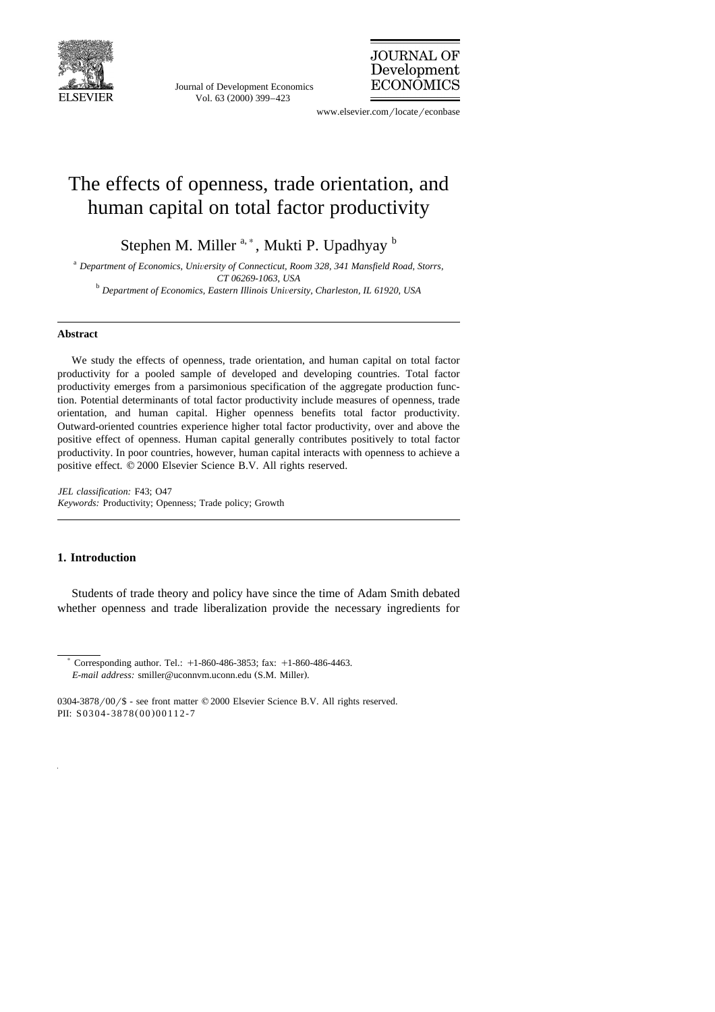

Journal of Development Economics Vol. 63 (2000) 399-423



www.elsevier.com/locate/econbase

## The effects of openness, trade orientation, and human capital on total factor productivity

Stephen M. Miller  $a, *$ , Mukti P. Upadhyay  $b$ 

<sup>a</sup> Department of Economics, University of Connecticut, Room 328, 341 Mansfield Road, Storrs, *CT 06269-1063, USA* <sup>b</sup> *Department of Economics, Eastern Illinois Uni*Õ*ersity, Charleston, IL 61920, USA*

## **Abstract**

We study the effects of openness, trade orientation, and human capital on total factor productivity for a pooled sample of developed and developing countries. Total factor productivity emerges from a parsimonious specification of the aggregate production function. Potential determinants of total factor productivity include measures of openness, trade orientation, and human capital. Higher openness benefits total factor productivity. Outward-oriented countries experience higher total factor productivity, over and above the positive effect of openness. Human capital generally contributes positively to total factor productivity. In poor countries, however, human capital interacts with openness to achieve a positive effect.  $© 2000$  Elsevier Science B.V. All rights reserved.

*JEL classification:* F43; O47 *Keywords:* Productivity; Openness; Trade policy; Growth

## **1. Introduction**

Students of trade theory and policy have since the time of Adam Smith debated whether openness and trade liberalization provide the necessary ingredients for

) Corresponding author. Tel.: q1-860-486-3853; fax: q1-860-486-4463. *E-mail address:* smiller@uconnym.uconn.edu (S.M. Miller).

 $0304-3878/00$  / \$ - see front matter  $@2000$  Elsevier Science B.V. All rights reserved. PII: S0304-3878(00)00112-7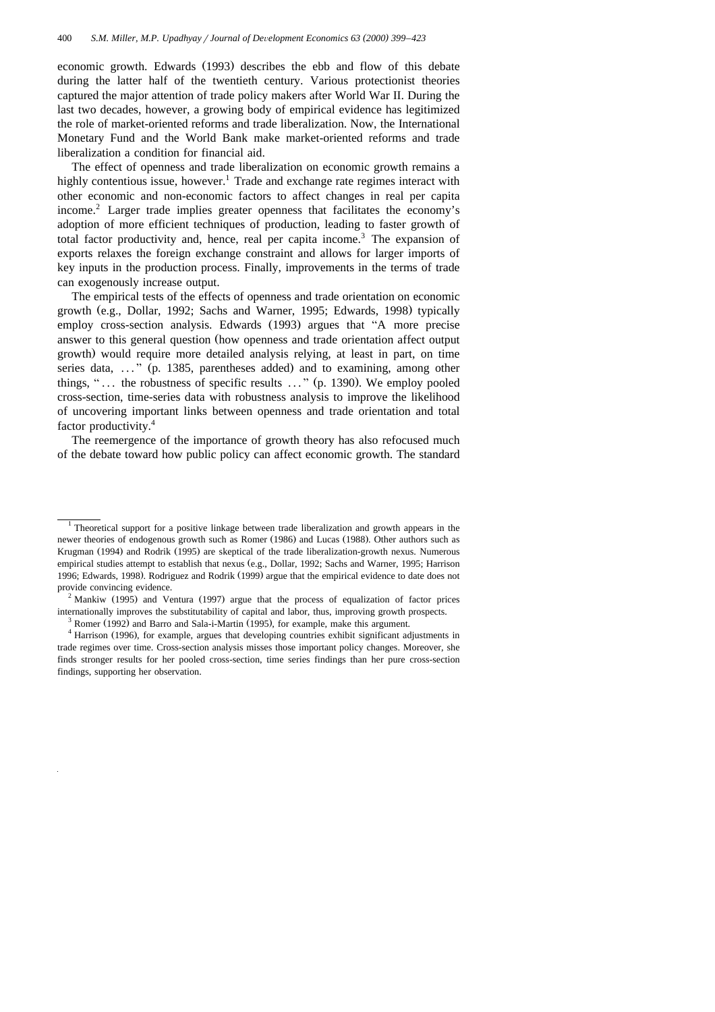economic growth. Edwards (1993) describes the ebb and flow of this debate during the latter half of the twentieth century. Various protectionist theories captured the major attention of trade policy makers after World War II. During the last two decades, however, a growing body of empirical evidence has legitimized the role of market-oriented reforms and trade liberalization. Now, the International Monetary Fund and the World Bank make market-oriented reforms and trade liberalization a condition for financial aid.

The effect of openness and trade liberalization on economic growth remains a highly contentious issue, however.<sup>1</sup> Trade and exchange rate regimes interact with other economic and non-economic factors to affect changes in real per capita income.<sup>2</sup> Larger trade implies greater openness that facilitates the economy's adoption of more efficient techniques of production, leading to faster growth of total factor productivity and, hence, real per capita income.<sup>3</sup> The expansion of exports relaxes the foreign exchange constraint and allows for larger imports of key inputs in the production process. Finally, improvements in the terms of trade can exogenously increase output.

The empirical tests of the effects of openness and trade orientation on economic growth (e.g., Dollar, 1992; Sachs and Warner, 1995; Edwards, 1998) typically employ cross-section analysis. Edwards (1993) argues that "A more precise answer to this general question (how openness and trade orientation affect output growth) would require more detailed analysis relying, at least in part, on time series data,  $\ldots$   $\ldots$  (p. 1385, parentheses added) and to examining, among other things, " $\ldots$  the robustness of specific results  $\ldots$  " (p. 1390). We employ pooled cross-section, time-series data with robustness analysis to improve the likelihood of uncovering important links between openness and trade orientation and total factor productivity.<sup>4</sup>

The reemergence of the importance of growth theory has also refocused much of the debate toward how public policy can affect economic growth. The standard

<sup>&</sup>lt;sup>1</sup> Theoretical support for a positive linkage between trade liberalization and growth appears in the newer theories of endogenous growth such as Romer (1986) and Lucas (1988). Other authors such as Krugman (1994) and Rodrik (1995) are skeptical of the trade liberalization-growth nexus. Numerous empirical studies attempt to establish that nexus (e.g., Dollar, 1992; Sachs and Warner, 1995; Harrison 1996; Edwards, 1998). Rodriguez and Rodrik (1999) argue that the empirical evidence to date does not provide convincing evidence.<br><sup>2</sup> Mankiw (1995) and Ventura (1997) argue that the process of equalization of factor prices

internationally improves the substitutability of capital and labor, thus, improving growth prospects.<br><sup>3</sup> Romer (1992) and Barro and Sala-i-Martin (1995), for example, make this argument.<br><sup>4</sup> Harrison (1996), for example,

trade regimes over time. Cross-section analysis misses those important policy changes. Moreover, she finds stronger results for her pooled cross-section, time series findings than her pure cross-section findings, supporting her observation.